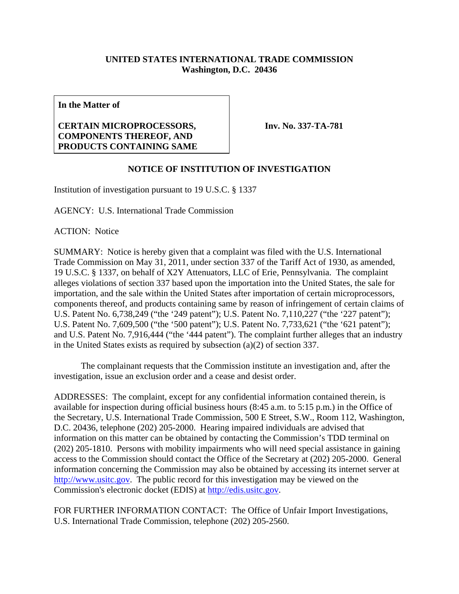## **UNITED STATES INTERNATIONAL TRADE COMMISSION Washington, D.C. 20436**

**In the Matter of** 

## **CERTAIN MICROPROCESSORS, COMPONENTS THEREOF, AND PRODUCTS CONTAINING SAME**

**Inv. No. 337-TA-781**

## **NOTICE OF INSTITUTION OF INVESTIGATION**

Institution of investigation pursuant to 19 U.S.C. § 1337

AGENCY: U.S. International Trade Commission

ACTION: Notice

SUMMARY: Notice is hereby given that a complaint was filed with the U.S. International Trade Commission on May 31, 2011, under section 337 of the Tariff Act of 1930, as amended, 19 U.S.C. § 1337, on behalf of X2Y Attenuators, LLC of Erie, Pennsylvania. The complaint alleges violations of section 337 based upon the importation into the United States, the sale for importation, and the sale within the United States after importation of certain microprocessors, components thereof, and products containing same by reason of infringement of certain claims of U.S. Patent No. 6,738,249 ("the '249 patent"); U.S. Patent No. 7,110,227 ("the '227 patent"); U.S. Patent No. 7,609,500 ("the '500 patent"); U.S. Patent No. 7,733,621 ("the '621 patent"); and U.S. Patent No. 7,916,444 ("the '444 patent"). The complaint further alleges that an industry in the United States exists as required by subsection (a)(2) of section 337.

 The complainant requests that the Commission institute an investigation and, after the investigation, issue an exclusion order and a cease and desist order.

ADDRESSES: The complaint, except for any confidential information contained therein, is available for inspection during official business hours (8:45 a.m. to 5:15 p.m.) in the Office of the Secretary, U.S. International Trade Commission, 500 E Street, S.W., Room 112, Washington, D.C. 20436, telephone (202) 205-2000. Hearing impaired individuals are advised that information on this matter can be obtained by contacting the Commission's TDD terminal on (202) 205-1810. Persons with mobility impairments who will need special assistance in gaining access to the Commission should contact the Office of the Secretary at (202) 205-2000. General information concerning the Commission may also be obtained by accessing its internet server at http://www.usitc.gov. The public record for this investigation may be viewed on the Commission's electronic docket (EDIS) at http://edis.usitc.gov.

FOR FURTHER INFORMATION CONTACT: The Office of Unfair Import Investigations, U.S. International Trade Commission, telephone (202) 205-2560.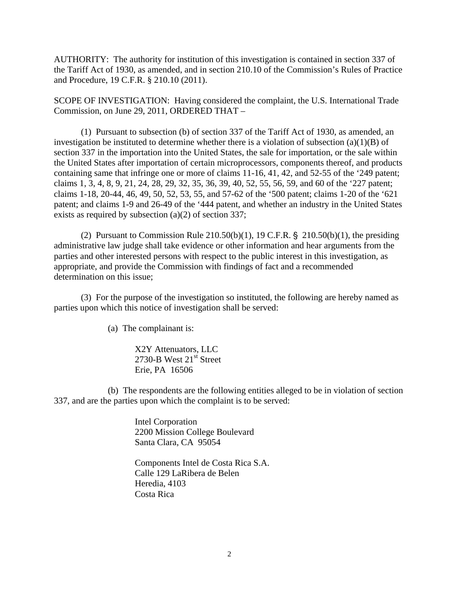AUTHORITY: The authority for institution of this investigation is contained in section 337 of the Tariff Act of 1930, as amended, and in section 210.10 of the Commission's Rules of Practice and Procedure, 19 C.F.R. § 210.10 (2011).

SCOPE OF INVESTIGATION: Having considered the complaint, the U.S. International Trade Commission, on June 29, 2011, ORDERED THAT –

 (1) Pursuant to subsection (b) of section 337 of the Tariff Act of 1930, as amended, an investigation be instituted to determine whether there is a violation of subsection (a)(1)(B) of section 337 in the importation into the United States, the sale for importation, or the sale within the United States after importation of certain microprocessors, components thereof, and products containing same that infringe one or more of claims 11-16, 41, 42, and 52-55 of the '249 patent; claims 1, 3, 4, 8, 9, 21, 24, 28, 29, 32, 35, 36, 39, 40, 52, 55, 56, 59, and 60 of the '227 patent; claims 1-18, 20-44, 46, 49, 50, 52, 53, 55, and 57-62 of the '500 patent; claims 1-20 of the '621 patent; and claims 1-9 and 26-49 of the '444 patent, and whether an industry in the United States exists as required by subsection (a)(2) of section 337;

(2) Pursuant to Commission Rule  $210.50(b)(1)$ , 19 C.F.R. §  $210.50(b)(1)$ , the presiding administrative law judge shall take evidence or other information and hear arguments from the parties and other interested persons with respect to the public interest in this investigation, as appropriate, and provide the Commission with findings of fact and a recommended determination on this issue;

 (3) For the purpose of the investigation so instituted, the following are hereby named as parties upon which this notice of investigation shall be served:

(a) The complainant is:

X2Y Attenuators, LLC 2730-B West  $21<sup>st</sup>$  Street Erie, PA 16506

 (b) The respondents are the following entities alleged to be in violation of section 337, and are the parties upon which the complaint is to be served:

> Intel Corporation 2200 Mission College Boulevard Santa Clara, CA 95054

 Components Intel de Costa Rica S.A. Calle 129 LaRibera de Belen Heredia, 4103 Costa Rica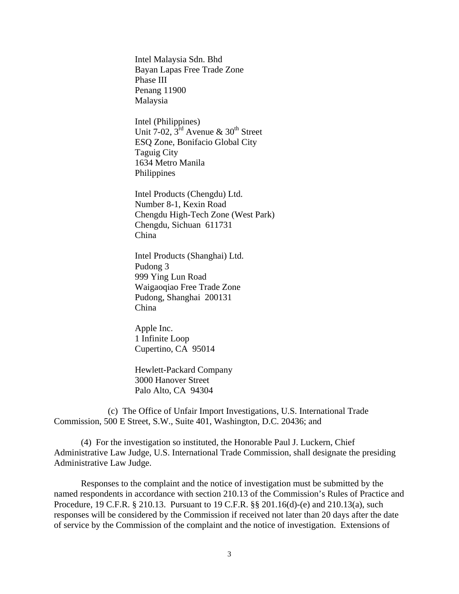Intel Malaysia Sdn. Bhd Bayan Lapas Free Trade Zone Phase III Penang 11900 Malaysia

 Intel (Philippines) Unit 7-02,  $3^{\text{rd}}$  Avenue & 30<sup>th</sup> Street ESQ Zone, Bonifacio Global City Taguig City 1634 Metro Manila Philippines

 Intel Products (Chengdu) Ltd. Number 8-1, Kexin Road Chengdu High-Tech Zone (West Park) Chengdu, Sichuan 611731 China

 Intel Products (Shanghai) Ltd. Pudong 3 999 Ying Lun Road Waigaoqiao Free Trade Zone Pudong, Shanghai 200131 China

 Apple Inc. 1 Infinite Loop Cupertino, CA 95014

 Hewlett-Packard Company 3000 Hanover Street Palo Alto, CA 94304

 (c) The Office of Unfair Import Investigations, U.S. International Trade Commission, 500 E Street, S.W., Suite 401, Washington, D.C. 20436; and

 (4) For the investigation so instituted, the Honorable Paul J. Luckern, Chief Administrative Law Judge, U.S. International Trade Commission, shall designate the presiding Administrative Law Judge.

 Responses to the complaint and the notice of investigation must be submitted by the named respondents in accordance with section 210.13 of the Commission's Rules of Practice and Procedure, 19 C.F.R. § 210.13. Pursuant to 19 C.F.R. §§ 201.16(d)-(e) and 210.13(a), such responses will be considered by the Commission if received not later than 20 days after the date of service by the Commission of the complaint and the notice of investigation. Extensions of